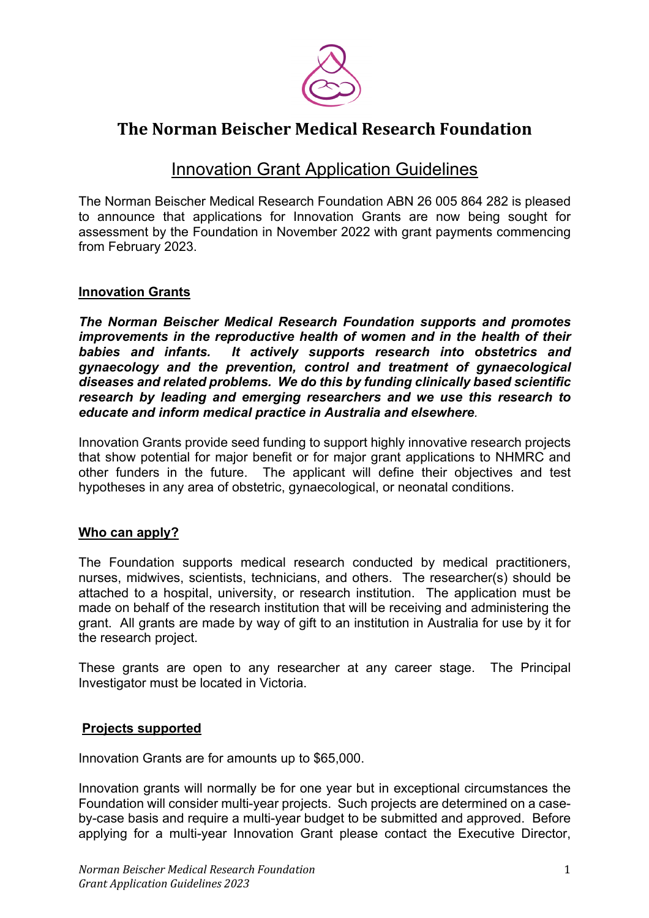

# **The Norman Beischer Medical Research Foundation**

# **Innovation Grant Application Guidelines**

The Norman Beischer Medical Research Foundation ABN 26 005 864 282 is pleased to announce that applications for Innovation Grants are now being sought for assessment by the Foundation in November 2022 with grant payments commencing from February 2023.

## **Innovation Grants**

*The Norman Beischer Medical Research Foundation supports and promotes improvements in the reproductive health of women and in the health of their babies and infants. It actively supports research into obstetrics and gynaecology and the prevention, control and treatment of gynaecological diseases and related problems. We do this by funding clinically based scientific research by leading and emerging researchers and we use this research to educate and inform medical practice in Australia and elsewhere.*

Innovation Grants provide seed funding to support highly innovative research projects that show potential for major benefit or for major grant applications to NHMRC and other funders in the future. The applicant will define their objectives and test hypotheses in any area of obstetric, gynaecological, or neonatal conditions.

### **Who can apply?**

The Foundation supports medical research conducted by medical practitioners, nurses, midwives, scientists, technicians, and others. The researcher(s) should be attached to a hospital, university, or research institution. The application must be made on behalf of the research institution that will be receiving and administering the grant. All grants are made by way of gift to an institution in Australia for use by it for the research project.

These grants are open to any researcher at any career stage. The Principal Investigator must be located in Victoria.

### **Projects supported**

Innovation Grants are for amounts up to \$65,000.

Innovation grants will normally be for one year but in exceptional circumstances the Foundation will consider multi-year projects. Such projects are determined on a caseby-case basis and require a multi-year budget to be submitted and approved. Before applying for a multi-year Innovation Grant please contact the Executive Director,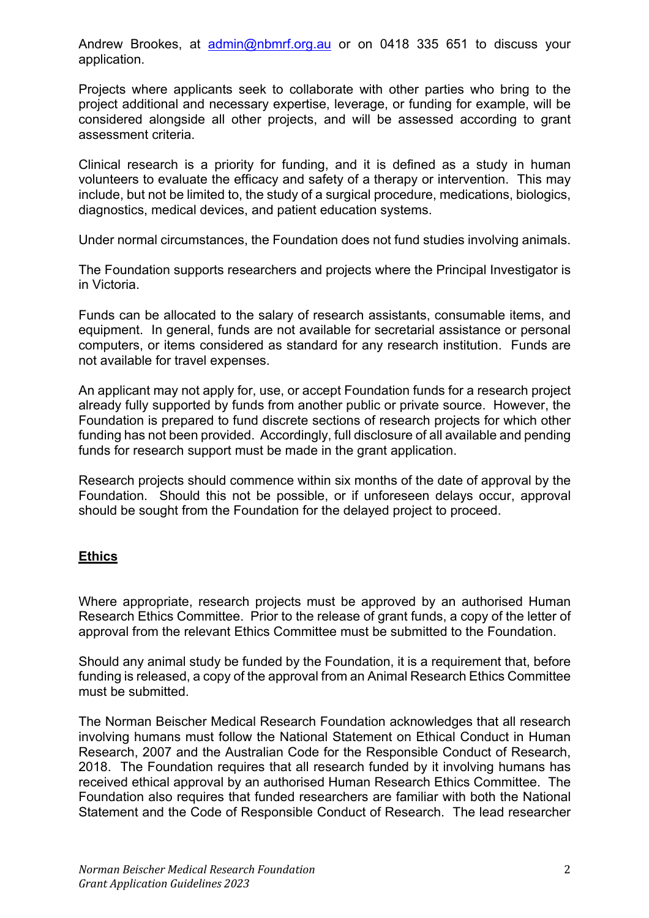Andrew Brookes, at admin@nbmrf.org.au or on 0418 335 651 to discuss your application.

Projects where applicants seek to collaborate with other parties who bring to the project additional and necessary expertise, leverage, or funding for example, will be considered alongside all other projects, and will be assessed according to grant assessment criteria.

Clinical research is a priority for funding, and it is defined as a study in human volunteers to evaluate the efficacy and safety of a therapy or intervention. This may include, but not be limited to, the study of a surgical procedure, medications, biologics, diagnostics, medical devices, and patient education systems.

Under normal circumstances, the Foundation does not fund studies involving animals.

The Foundation supports researchers and projects where the Principal Investigator is in Victoria.

Funds can be allocated to the salary of research assistants, consumable items, and equipment. In general, funds are not available for secretarial assistance or personal computers, or items considered as standard for any research institution. Funds are not available for travel expenses.

An applicant may not apply for, use, or accept Foundation funds for a research project already fully supported by funds from another public or private source. However, the Foundation is prepared to fund discrete sections of research projects for which other funding has not been provided. Accordingly, full disclosure of all available and pending funds for research support must be made in the grant application.

Research projects should commence within six months of the date of approval by the Foundation. Should this not be possible, or if unforeseen delays occur, approval should be sought from the Foundation for the delayed project to proceed.

### **Ethics**

Where appropriate, research projects must be approved by an authorised Human Research Ethics Committee. Prior to the release of grant funds, a copy of the letter of approval from the relevant Ethics Committee must be submitted to the Foundation.

Should any animal study be funded by the Foundation, it is a requirement that, before funding is released, a copy of the approval from an Animal Research Ethics Committee must be submitted.

The Norman Beischer Medical Research Foundation acknowledges that all research involving humans must follow the National Statement on Ethical Conduct in Human Research, 2007 and the Australian Code for the Responsible Conduct of Research, 2018. The Foundation requires that all research funded by it involving humans has received ethical approval by an authorised Human Research Ethics Committee. The Foundation also requires that funded researchers are familiar with both the National Statement and the Code of Responsible Conduct of Research. The lead researcher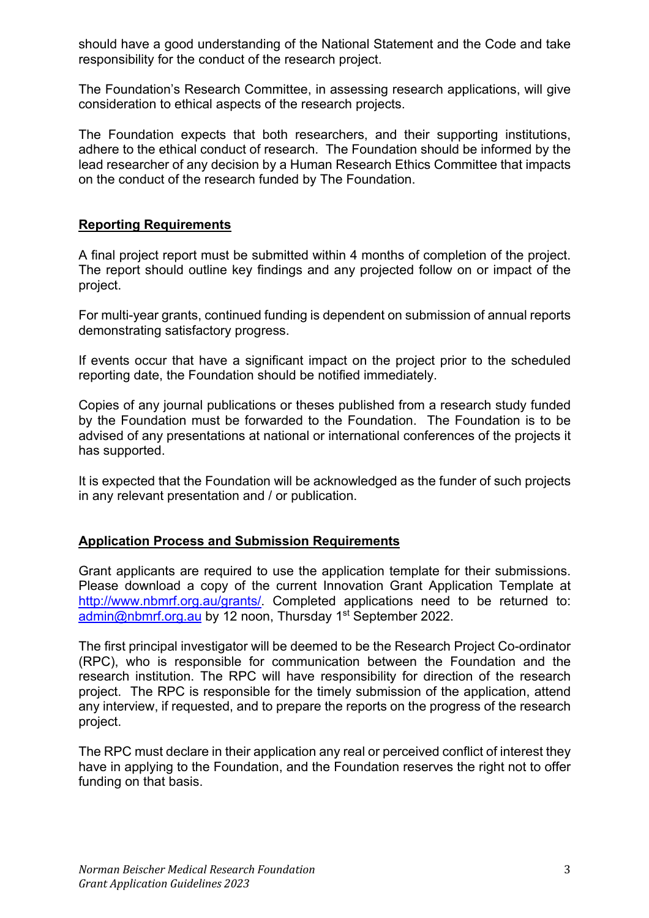should have a good understanding of the National Statement and the Code and take responsibility for the conduct of the research project.

The Foundation's Research Committee, in assessing research applications, will give consideration to ethical aspects of the research projects.

The Foundation expects that both researchers, and their supporting institutions, adhere to the ethical conduct of research. The Foundation should be informed by the lead researcher of any decision by a Human Research Ethics Committee that impacts on the conduct of the research funded by The Foundation.

### **Reporting Requirements**

A final project report must be submitted within 4 months of completion of the project. The report should outline key findings and any projected follow on or impact of the project.

For multi-year grants, continued funding is dependent on submission of annual reports demonstrating satisfactory progress.

If events occur that have a significant impact on the project prior to the scheduled reporting date, the Foundation should be notified immediately.

Copies of any journal publications or theses published from a research study funded by the Foundation must be forwarded to the Foundation. The Foundation is to be advised of any presentations at national or international conferences of the projects it has supported.

It is expected that the Foundation will be acknowledged as the funder of such projects in any relevant presentation and / or publication.

### **Application Process and Submission Requirements**

Grant applicants are required to use the application template for their submissions. Please download a copy of the current Innovation Grant Application Template at http://www.nbmrf.org.au/grants/. Completed applications need to be returned to: admin@nbmrf.org.au by 12 noon, Thursday 1<sup>st</sup> September 2022.

The first principal investigator will be deemed to be the Research Project Co-ordinator (RPC), who is responsible for communication between the Foundation and the research institution. The RPC will have responsibility for direction of the research project. The RPC is responsible for the timely submission of the application, attend any interview, if requested, and to prepare the reports on the progress of the research project.

The RPC must declare in their application any real or perceived conflict of interest they have in applying to the Foundation, and the Foundation reserves the right not to offer funding on that basis.